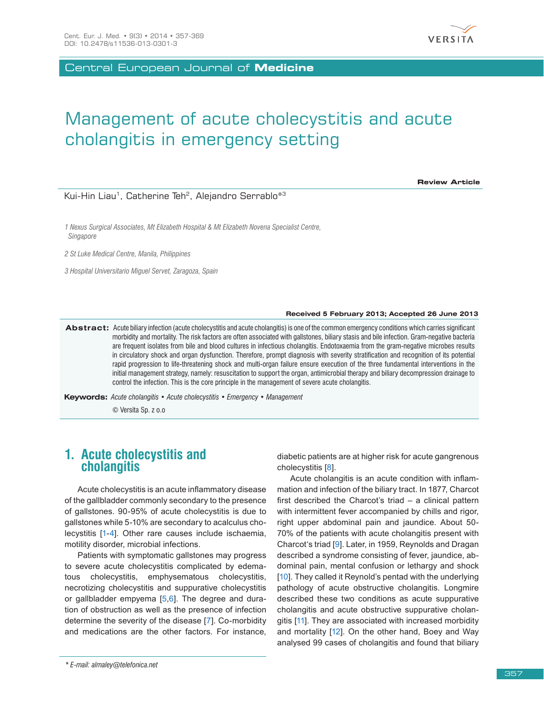

Central European Journal of **Medicine**

# Management of acute cholecystitis and acute cholangitis in emergency setting

**Review Article**

#### Kui-Hin Liau<sup>1</sup>, Catherine Teh<sup>2</sup>, Alejandro Serrablo\*<sup>3</sup>

*1 Nexus Surgical Associates, Mt Elizabeth Hospital & Mt Elizabeth Novena Specialist Centre, Singapore*

*2 St Luke Medical Centre, Manila, Philippines*

*3 Hospital Universitario Miguel Servet, Zaragoza, Spain*

#### **Received 5 February 2013; Accepted 26 June 2013**

Abstract: Acute biliary infection (acute cholecystitis and acute cholangitis) is one of the common emergency conditions which carries significant morbidity and mortality. The risk factors are often associated with gallstones, biliary stasis and bile infection. Gram-negative bacteria are frequent isolates from bile and blood cultures in infectious cholangitis. Endotoxaemia from the gram-negative microbes results in circulatory shock and organ dysfunction. Therefore, prompt diagnosis with severity stratification and recognition of its potential rapid progression to life-threatening shock and multi-organ failure ensure execution of the three fundamental interventions in the initial management strategy, namely: resuscitation to support the organ, antimicrobial therapy and biliary decompression drainage to control the infection. This is the core principle in the management of severe acute cholangitis.

**Keywords:** *Acute cholangitis • Acute cholecystitis • Emergency • Management*

© Versita Sp. z o.o

## **1. Acute cholecystitis and cholangitis**

Acute cholecystitis is an acute inflammatory disease of the gallbladder commonly secondary to the presence of gallstones. 90-95% of acute cholecystitis is due to gallstones while 5-10% are secondary to acalculus cholecystitis [\[1-](#page--1-0)[4](#page--1-1)]. Other rare causes include ischaemia, motility disorder, microbial infections.

Patients with symptomatic gallstones may progress to severe acute cholecystitis complicated by edematous cholecystitis, emphysematous cholecystitis, necrotizing cholecystitis and suppurative cholecystitis or gallbladder empyema  $[5,6]$  $[5,6]$  $[5,6]$  $[5,6]$  $[5,6]$ . The degree and duration of obstruction as well as the presence of infection determine the severity of the disease [[7](#page--1-4)]. Co-morbidity and medications are the other factors. For instance, diabetic patients are at higher risk for acute gangrenous cholecystitis [[8](#page--1-5)].

Acute cholangitis is an acute condition with inflammation and infection of the biliary tract. In 1877, Charcot first described the Charcot's triad – a clinical pattern with intermittent fever accompanied by chills and rigor, right upper abdominal pain and jaundice. About 50- 70% of the patients with acute cholangitis present with Charcot's triad [[9](#page--1-6)]. Later, in 1959, Reynolds and Dragan described a syndrome consisting of fever, jaundice, abdominal pain, mental confusion or lethargy and shock [\[10](#page--1-7)]. They called it Reynold's pentad with the underlying pathology of acute obstructive cholangitis. Longmire described these two conditions as acute suppurative cholangitis and acute obstructive suppurative cholan-gitis [[11](#page--1-8)]. They are associated with increased morbidity and mortality [[12](#page--1-9)]. On the other hand, Boey and Way analysed 99 cases of cholangitis and found that biliary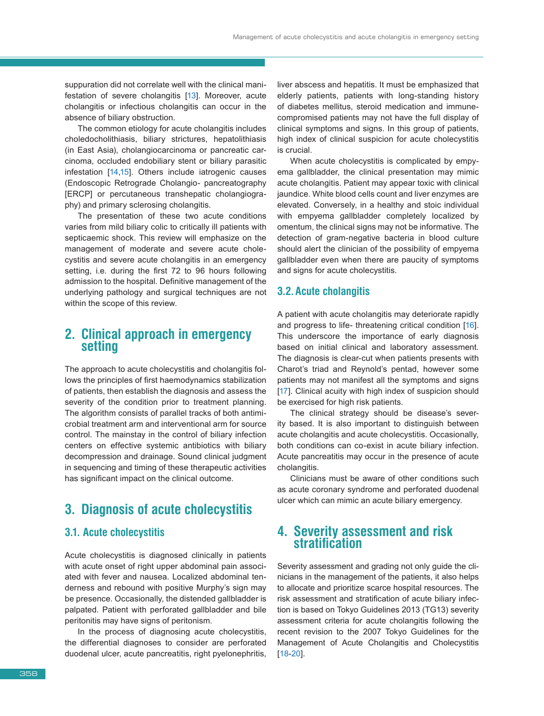suppuration did not correlate well with the clinical manifestation of severe cholangitis [[13](#page--1-10)]. Moreover, acute cholangitis or infectious cholangitis can occur in the absence of biliary obstruction.

The common etiology for acute cholangitis includes choledocholithiasis, biliary strictures, hepatolithiasis (in East Asia), cholangiocarcinoma or pancreatic carcinoma, occluded endobiliary stent or biliary parasitic infestation [\[14](#page--1-11),[15](#page--1-12)]. Others include iatrogenic causes (Endoscopic Retrograde Cholangio- pancreatography [ERCP] or percutaneous transhepatic cholangiography) and primary sclerosing cholangitis.

The presentation of these two acute conditions varies from mild biliary colic to critically ill patients with septicaemic shock. This review will emphasize on the management of moderate and severe acute cholecystitis and severe acute cholangitis in an emergency setting, i.e. during the first 72 to 96 hours following admission to the hospital. Definitive management of the underlying pathology and surgical techniques are not within the scope of this review.

## **2. Clinical approach in emergency setting**

The approach to acute cholecystitis and cholangitis follows the principles of first haemodynamics stabilization of patients, then establish the diagnosis and assess the severity of the condition prior to treatment planning. The algorithm consists of parallel tracks of both antimicrobial treatment arm and interventional arm for source control. The mainstay in the control of biliary infection centers on effective systemic antibiotics with biliary decompression and drainage. Sound clinical judgment in sequencing and timing of these therapeutic activities has significant impact on the clinical outcome.

## **3. Diagnosis of acute cholecystitis**

#### **3.1. Acute cholecystitis**

Acute cholecystitis is diagnosed clinically in patients with acute onset of right upper abdominal pain associated with fever and nausea. Localized abdominal tenderness and rebound with positive Murphy's sign may be presence. Occasionally, the distended gallbladder is palpated. Patient with perforated gallbladder and bile peritonitis may have signs of peritonism.

In the process of diagnosing acute cholecystitis, the differential diagnoses to consider are perforated duodenal ulcer, acute pancreatitis, right pyelonephritis, liver abscess and hepatitis. It must be emphasized that elderly patients, patients with long-standing history of diabetes mellitus, steroid medication and immunecompromised patients may not have the full display of clinical symptoms and signs. In this group of patients, high index of clinical suspicion for acute cholecystitis is crucial.

When acute cholecystitis is complicated by empyema gallbladder, the clinical presentation may mimic acute cholangitis. Patient may appear toxic with clinical jaundice. White blood cells count and liver enzymes are elevated. Conversely, in a healthy and stoic individual with empyema gallbladder completely localized by omentum, the clinical signs may not be informative. The detection of gram-negative bacteria in blood culture should alert the clinician of the possibility of empyema gallbladder even when there are paucity of symptoms and signs for acute cholecystitis.

#### **3.2. Acute cholangitis**

A patient with acute cholangitis may deteriorate rapidly and progress to life- threatening critical condition [[16](#page--1-13)]. This underscore the importance of early diagnosis based on initial clinical and laboratory assessment. The diagnosis is clear-cut when patients presents with Charot's triad and Reynold's pentad, however some patients may not manifest all the symptoms and signs [\[17](#page--1-14)]. Clinical acuity with high index of suspicion should be exercised for high risk patients.

The clinical strategy should be disease's severity based. It is also important to distinguish between acute cholangitis and acute cholecystitis. Occasionally, both conditions can co-exist in acute biliary infection. Acute pancreatitis may occur in the presence of acute cholangitis.

Clinicians must be aware of other conditions such as acute coronary syndrome and perforated duodenal ulcer which can mimic an acute biliary emergency.

# **4. Severity assessment and risk stratification**

Severity assessment and grading not only guide the clinicians in the management of the patients, it also helps to allocate and prioritize scarce hospital resources. The risk assessment and stratification of acute biliary infection is based on Tokyo Guidelines 2013 (TG13) severity assessment criteria for acute cholangitis following the recent revision to the 2007 Tokyo Guidelines for the Management of Acute Cholangitis and Cholecystitis [\[18](#page--1-15)[-20](#page--1-16)].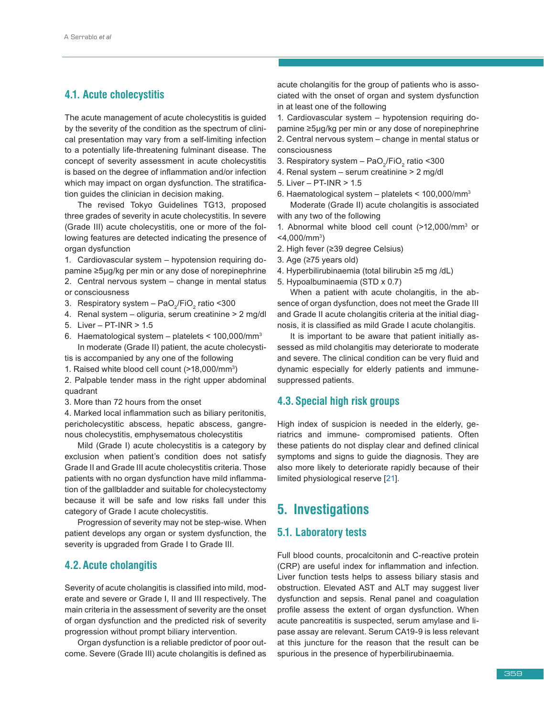#### **4.1. Acute cholecystitis**

The acute management of acute cholecystitis is guided by the severity of the condition as the spectrum of clinical presentation may vary from a self-limiting infection to a potentially life-threatening fulminant disease. The concept of severity assessment in acute cholecystitis is based on the degree of inflammation and/or infection which may impact on organ dysfunction. The stratification guides the clinician in decision making.

The revised Tokyo Guidelines TG13, proposed three grades of severity in acute cholecystitis. In severe (Grade III) acute cholecystitis, one or more of the following features are detected indicating the presence of organ dysfunction

1. Cardiovascular system – hypotension requiring dopamine ≥5µg/kg per min or any dose of norepinephrine 2. Central nervous system – change in mental status

or consciousness

- 3. Respiratory system PaO $_2$ /FiO $_2$  ratio <300 4. Renal system – oliguria, serum creatinine > 2 mg/dl
- 5. Liver PT-INR > 1.5
- 6. Haematological system platelets < 100,000/mm<sup>3</sup> In moderate (Grade II) patient, the acute cholecysti-
- tis is accompanied by any one of the following
- 1. Raised white blood cell count (>18,000/mm<sup>3</sup> )

2. Palpable tender mass in the right upper abdominal quadrant

3. More than 72 hours from the onset

4. Marked local inflammation such as biliary peritonitis, pericholecystitic abscess, hepatic abscess, gangrenous cholecystitis, emphysematous cholecystitis

Mild (Grade I) acute cholecystitis is a category by exclusion when patient's condition does not satisfy Grade II and Grade III acute cholecystitis criteria. Those patients with no organ dysfunction have mild inflammation of the gallbladder and suitable for cholecystectomy because it will be safe and low risks fall under this category of Grade I acute cholecystitis.

Progression of severity may not be step-wise. When patient develops any organ or system dysfunction, the severity is upgraded from Grade I to Grade III.

#### **4.2. Acute cholangitis**

Severity of acute cholangitis is classified into mild, moderate and severe or Grade I, II and III respectively. The main criteria in the assessment of severity are the onset of organ dysfunction and the predicted risk of severity progression without prompt biliary intervention.

Organ dysfunction is a reliable predictor of poor outcome. Severe (Grade III) acute cholangitis is defined as acute cholangitis for the group of patients who is associated with the onset of organ and system dysfunction in at least one of the following

1. Cardiovascular system – hypotension requiring dopamine ≥5µg/kg per min or any dose of norepinephrine 2. Central nervous system – change in mental status or consciousness

- 3. Respiratory system PaO $_2$ /FiO $_2$  ratio <300
- 4. Renal system serum creatinine > 2 mg/dl
- 5. Liver PT-INR > 1.5
- 6. Haematological system platelets < 100,000/mm<sup>3</sup> Moderate (Grade II) acute cholangitis is associated with any two of the following

1. Abnormal white blood cell count (>12,000/mm<sup>3</sup> or  $<$ 4,000/mm $^3$ )

- 2. High fever (≥39 degree Celsius)
- 3. Age (≥75 years old)
- 4. Hyperbilirubinaemia (total bilirubin ≥5 mg /dL)
- 5. Hypoalbuminaemia (STD x 0.7)

When a patient with acute cholangitis, in the absence of organ dysfunction, does not meet the Grade III and Grade II acute cholangitis criteria at the initial diagnosis, it is classified as mild Grade I acute cholangitis.

It is important to be aware that patient initially assessed as mild cholangitis may deteriorate to moderate and severe. The clinical condition can be very fluid and dynamic especially for elderly patients and immunesuppressed patients.

#### **4.3. Special high risk groups**

High index of suspicion is needed in the elderly, geriatrics and immune- compromised patients. Often these patients do not display clear and defined clinical symptoms and signs to guide the diagnosis. They are also more likely to deteriorate rapidly because of their limited physiological reserve [[21](#page--1-17)].

# **5. Investigations**

#### **5.1. Laboratory tests**

Full blood counts, procalcitonin and C-reactive protein (CRP) are useful index for inflammation and infection. Liver function tests helps to assess biliary stasis and obstruction. Elevated AST and ALT may suggest liver dysfunction and sepsis. Renal panel and coagulation profile assess the extent of organ dysfunction. When acute pancreatitis is suspected, serum amylase and lipase assay are relevant. Serum CA19-9 is less relevant at this juncture for the reason that the result can be spurious in the presence of hyperbilirubinaemia.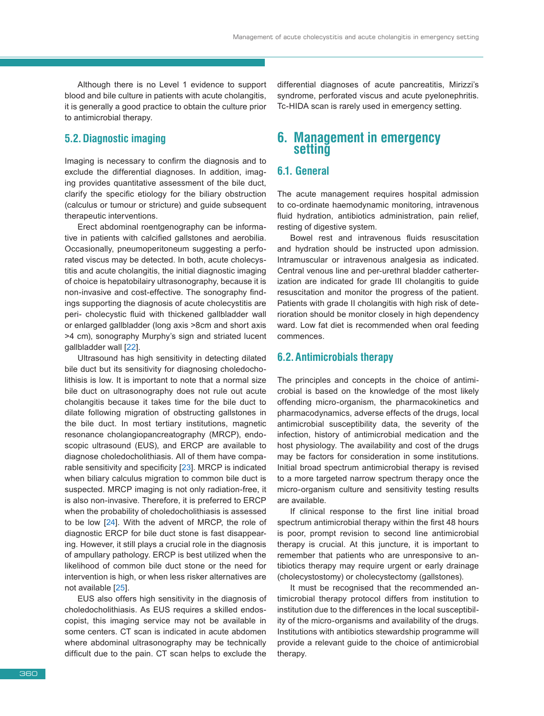Although there is no Level 1 evidence to support blood and bile culture in patients with acute cholangitis, it is generally a good practice to obtain the culture prior to antimicrobial therapy.

#### **5.2. Diagnostic imaging**

Imaging is necessary to confirm the diagnosis and to exclude the differential diagnoses. In addition, imaging provides quantitative assessment of the bile duct, clarify the specific etiology for the biliary obstruction (calculus or tumour or stricture) and guide subsequent therapeutic interventions.

Erect abdominal roentgenography can be informative in patients with calcified gallstones and aerobilia. Occasionally, pneumoperitoneum suggesting a perforated viscus may be detected. In both, acute cholecystitis and acute cholangitis, the initial diagnostic imaging of choice is hepatobilairy ultrasonography, because it is non-invasive and cost-effective. The sonography findings supporting the diagnosis of acute cholecystitis are peri- cholecystic fluid with thickened gallbladder wall or enlarged gallbladder (long axis >8cm and short axis >4 cm), sonography Murphy's sign and striated lucent gallbladder wall [[22\]](#page--1-18).

Ultrasound has high sensitivity in detecting dilated bile duct but its sensitivity for diagnosing choledocholithisis is low. It is important to note that a normal size bile duct on ultrasonography does not rule out acute cholangitis because it takes time for the bile duct to dilate following migration of obstructing gallstones in the bile duct. In most tertiary institutions, magnetic resonance cholangiopancreatography (MRCP), endoscopic ultrasound (EUS), and ERCP are available to diagnose choledocholithiasis. All of them have comparable sensitivity and specificity [[23](#page--1-19)]. MRCP is indicated when biliary calculus migration to common bile duct is suspected. MRCP imaging is not only radiation-free, it is also non-invasive. Therefore, it is preferred to ERCP when the probability of choledocholithiasis is assessed to be low [\[24](#page--1-20)]. With the advent of MRCP, the role of diagnostic ERCP for bile duct stone is fast disappearing. However, it still plays a crucial role in the diagnosis of ampullary pathology. ERCP is best utilized when the likelihood of common bile duct stone or the need for intervention is high, or when less risker alternatives are not available [[25\]](#page--1-3).

EUS also offers high sensitivity in the diagnosis of choledocholithiasis. As EUS requires a skilled endoscopist, this imaging service may not be available in some centers. CT scan is indicated in acute abdomen where abdominal ultrasonography may be technically difficult due to the pain. CT scan helps to exclude the

differential diagnoses of acute pancreatitis, Mirizzi's syndrome, perforated viscus and acute pyelonephritis. Tc-HIDA scan is rarely used in emergency setting.

### **6. Management in emergency setting**

#### **6.1. General**

The acute management requires hospital admission to co-ordinate haemodynamic monitoring, intravenous fluid hydration, antibiotics administration, pain relief, resting of digestive system.

Bowel rest and intravenous fluids resuscitation and hydration should be instructed upon admission. Intramuscular or intravenous analgesia as indicated. Central venous line and per-urethral bladder catherterization are indicated for grade III cholangitis to guide resuscitation and monitor the progress of the patient. Patients with grade II cholangitis with high risk of deterioration should be monitor closely in high dependency ward. Low fat diet is recommended when oral feeding commences.

#### **6.2. Antimicrobials therapy**

The principles and concepts in the choice of antimicrobial is based on the knowledge of the most likely offending micro-organism, the pharmacokinetics and pharmacodynamics, adverse effects of the drugs, local antimicrobial susceptibility data, the severity of the infection, history of antimicrobial medication and the host physiology. The availability and cost of the drugs may be factors for consideration in some institutions. Initial broad spectrum antimicrobial therapy is revised to a more targeted narrow spectrum therapy once the micro-organism culture and sensitivity testing results are available.

If clinical response to the first line initial broad spectrum antimicrobial therapy within the first 48 hours is poor, prompt revision to second line antimicrobial therapy is crucial. At this juncture, it is important to remember that patients who are unresponsive to antibiotics therapy may require urgent or early drainage (cholecystostomy) or cholecystectomy (gallstones).

It must be recognised that the recommended antimicrobial therapy protocol differs from institution to institution due to the differences in the local susceptibility of the micro-organisms and availability of the drugs. Institutions with antibiotics stewardship programme will provide a relevant guide to the choice of antimicrobial therapy.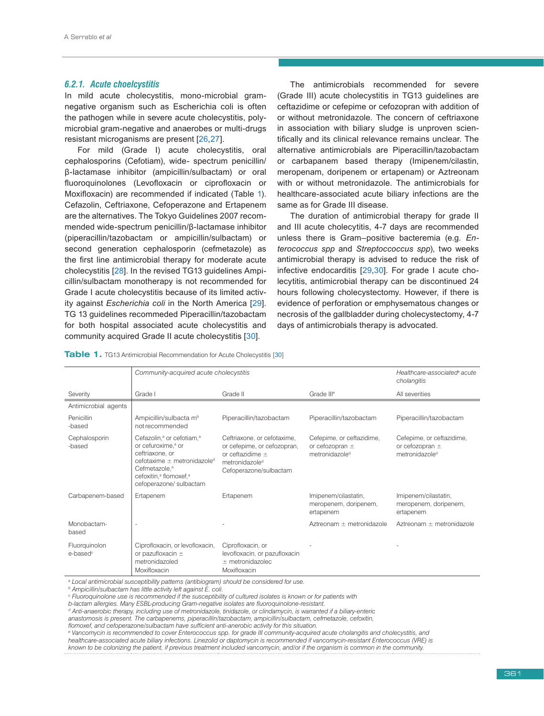#### *6.2.1. Acute choelcystitis*

In mild acute cholecystitis, mono-microbial gramnegative organism such as Escherichia coli is often the pathogen while in severe acute cholecystitis, polymicrobial gram-negative and anaerobes or multi-drugs resistant microganisms are present [[26](#page--1-21),[27\]](#page--1-22).

For mild (Grade I) acute cholecystitis, oral cephalosporins (Cefotiam), wide- spectrum penicillin/ β-lactamase inhibitor (ampicillin/sulbactam) or oral fluoroquinolones (Levofloxacin or ciprofloxacin or Moxifloxacin) are recommended if indicated (Table [1](#page--1-23)). Cefazolin, Ceftriaxone, Cefoperazone and Ertapenem are the alternatives. The Tokyo Guidelines 2007 recommended wide-spectrum penicillin/β-lactamase inhibitor (piperacillin/tazobactam or ampicillin/sulbactam) or second generation cephalosporin (cefmetazole) as the first line antimicrobial therapy for moderate acute cholecystitis [\[28](#page--1-24)]. In the revised TG13 guidelines Ampicillin/sulbactam monotherapy is not recommended for Grade I acute cholecystitis because of its limited activity against *Escherichia coli* in the North America [[29\]](#page--1-25). TG 13 guidelines recommeded Piperacillin/tazobactam for both hospital associated acute cholecystitis and community acquired Grade II acute cholecystitis [[30\]](#page--1-26).

The antimicrobials recommended for severe (Grade III) acute cholecystitis in TG13 guidelines are ceftazidime or cefepime or cefozopran with addition of or without metronidazole. The concern of ceftriaxone in association with biliary sludge is unproven scientifically and its clinical relevance remains unclear. The alternative antimicrobials are Piperacillin/tazobactam or carbapanem based therapy (Imipenem/cilastin, meropenam, doripenem or ertapenam) or Aztreonam with or without metronidazole. The antimicrobials for healthcare-associated acute biliary infections are the same as for Grade III disease.

The duration of antimicrobial therapy for grade II and III acute cholecytitis, 4-7 days are recommended unless there is Gram–positive bacteremia (e.g. *Enterococcus spp* and *Streptoccoccus spp*), two weeks antimicrobial therapy is advised to reduce the risk of infective endocarditis [[29](#page--1-25),[30](#page--1-26)]. For grade I acute cholecytitis, antimicrobial therapy can be discontinued 24 hours following cholecystectomy. However, if there is evidence of perforation or emphysematous changes or necrosis of the gallbladder during cholecystectomy, 4-7 days of antimicrobials therapy is advocated.

|  |  | Table 1. TG13 Antimicrobial Recommendation for Acute Cholecystitis [30] |  |  |  |
|--|--|-------------------------------------------------------------------------|--|--|--|
|--|--|-------------------------------------------------------------------------|--|--|--|

|                                       | Community-acquired acute cholecystitis                                                                                                                                                                                                                          |                                                                                                                                            |                                                                                | Healthcare-associated <sup>e</sup> acute<br>cholangitis                        |  |
|---------------------------------------|-----------------------------------------------------------------------------------------------------------------------------------------------------------------------------------------------------------------------------------------------------------------|--------------------------------------------------------------------------------------------------------------------------------------------|--------------------------------------------------------------------------------|--------------------------------------------------------------------------------|--|
| Severity                              | Grade I                                                                                                                                                                                                                                                         | Grade II                                                                                                                                   | Grade III <sup>e</sup>                                                         | All severities                                                                 |  |
| Antimicrobial agents                  |                                                                                                                                                                                                                                                                 |                                                                                                                                            |                                                                                |                                                                                |  |
| Penicillin<br>-based                  | Ampicillin/sulbacta m <sup>b</sup><br>not recommended                                                                                                                                                                                                           | Piperacillin/tazobactam                                                                                                                    | Piperacillin/tazobactam                                                        | Piperacillin/tazobactam                                                        |  |
| Cephalosporin<br>-based               | Cefazolin, <sup>a</sup> or cefotiam, <sup>a</sup><br>or cefuroxime, <sup>a</sup> or<br>ceftriaxone, or<br>cefotaxime $\pm$ metronidazole <sup>d</sup><br>Cefmetazole, <sup>a</sup><br>cefoxitin, <sup>a</sup> flomoxef, <sup>a</sup><br>cefoperazone/ sulbactam | Ceftriaxone, or cefotaxime,<br>or cefepime, or cefozopran,<br>or ceftazidime $\pm$<br>metronidazole <sup>d</sup><br>Cefoperazone/sulbactam | Cefepime, or ceftazidime,<br>or cefozopran $\pm$<br>metronidazole <sup>d</sup> | Cefepime, or ceftazidime,<br>or cefozopran $\pm$<br>metronidazole <sup>d</sup> |  |
| Carbapenem-based                      | Ertapenem                                                                                                                                                                                                                                                       | Ertapenem                                                                                                                                  | Imipenem/cilastatin,<br>meropenem, doripenem,<br>ertapenem                     | Imipenem/cilastatin,<br>meropenem, doripenem,<br>ertapenem                     |  |
| Monobactam-<br>based                  |                                                                                                                                                                                                                                                                 |                                                                                                                                            | Aztreonam $\pm$ metronidazole                                                  | Aztreonam $\pm$ metronidazole                                                  |  |
| Fluorquinolon<br>e-based <sup>®</sup> | Ciprofloxacin, or levofloxacin,<br>or pazufloxacin $\pm$<br>metronidazoled<br>Moxifloxacin                                                                                                                                                                      | Ciprofloxacin, or<br>levofloxacin, or pazufloxacin<br>$\pm$ metronidazolec<br>Moxifloxacin                                                 |                                                                                |                                                                                |  |

*a Local antimicrobial susceptibility patterns (antibiogram) should be considered for use.*

*b Ampicillin/sulbactam has little activity left against E. coli.*

*c Fluoroquinolone use is recommended if the susceptibility of cultured isolates is known or for patients with* 

*b-lactam allergies. Many ESBL-producing Gram-negative isolates are fluoroquinolone-resistant.*

*d Anti-anaerobic therapy, including use of metronidazole, tinidazole, or clindamycin, is warranted if a biliary-enteric* 

*anastomosis is present. The carbapenems, piperacillin/tazobactam, ampicillin/sulbactam, cefmetazole, cefoxitin,* 

*flomoxef, and cefoperazone/sulbactam have sufficient anti-anerobic activity for this situation.*

*e Vancomycin is recommended to cover Enterococcus spp. for grade III community-acquired acute cholangitis and cholecystitis, and* 

*healthcare-associated acute biliary infections. Linezolid or daptomycin is recommended if vancomycin-resistant Enterococcus (VRE) is* 

*known to be colonizing the patient, if previous treatment included vancomycin, and/or if the organism is common in the community.*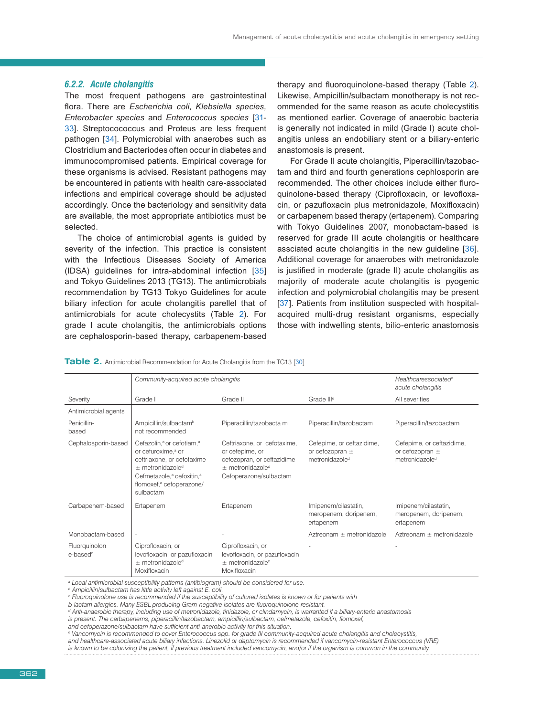#### *6.2.2. Acute cholangitis*

The most frequent pathogens are gastrointestinal flora. There are *Escherichia coli*, *Klebsiella species, Enterobacter species* and *Enterococcus species* [[31-](#page--1-27) [33](#page--1-28)]. Streptocococcus and Proteus are less frequent pathogen [[34](#page--1-29)]. Polymicrobial with anaerobes such as Clostridium and Bacteriodes often occur in diabetes and immunocompromised patients. Empirical coverage for these organisms is advised. Resistant pathogens may be encountered in patients with health care-associated infections and empirical coverage should be adjusted accordingly. Once the bacteriology and sensitivity data are available, the most appropriate antibiotics must be selected.

The choice of antimicrobial agents is guided by severity of the infection. This practice is consistent with the Infectious Diseases Society of America (IDSA) guidelines for intra-abdominal infection [[35](#page--1-30)] and Tokyo Guidelines 2013 (TG13). The antimicrobials recommendation by TG13 Tokyo Guidelines for acute biliary infection for acute cholangitis parellel that of antimicrobials for acute cholecystits (Table [2](#page--1-31)). For grade I acute cholangitis, the antimicrobials options are cephalosporin-based therapy, carbapenem-based

therapy and fluoroquinolone-based therapy (Table [2\)](#page--1-31). Likewise, Ampicillin/sulbactam monotherapy is not recommended for the same reason as acute cholecystitis as mentioned earlier. Coverage of anaerobic bacteria is generally not indicated in mild (Grade I) acute cholangitis unless an endobiliary stent or a biliary-enteric anastomosis is present.

For Grade II acute cholangitis, Piperacillin/tazobactam and third and fourth generations cephlosporin are recommended. The other choices include either fluroquinolone-based therapy (Ciprofloxacin, or levofloxacin, or pazufloxacin plus metronidazole, Moxifloxacin) or carbapenem based therapy (ertapenem). Comparing with Tokyo Guidelines 2007, monobactam-based is reserved for grade III acute cholangitis or healthcare assciated acute cholangitis in the new guideline [[36](#page--1-32)]. Additional coverage for anaerobes with metronidazole is justified in moderate (grade II) acute cholangitis as majority of moderate acute cholangitis is pyogenic infection and polymicrobial cholangitis may be present [\[37](#page--1-33)]. Patients from institution suspected with hospitalacquired multi-drug resistant organisms, especially those with indwelling stents, bilio-enteric anastomosis

|  |  |  |  |  | Table 2. Antimicrobial Recommendation for Acute Cholangitis from the TG13 [30] |  |  |  |  |  |
|--|--|--|--|--|--------------------------------------------------------------------------------|--|--|--|--|--|
|--|--|--|--|--|--------------------------------------------------------------------------------|--|--|--|--|--|

|                                       | Community-acquired acute cholangitis                                                                                                                                                                                                                            |                                                                                                                                            |                                                                                | Healthcaressociated®<br>acute cholangitis                                      |  |
|---------------------------------------|-----------------------------------------------------------------------------------------------------------------------------------------------------------------------------------------------------------------------------------------------------------------|--------------------------------------------------------------------------------------------------------------------------------------------|--------------------------------------------------------------------------------|--------------------------------------------------------------------------------|--|
| Severity                              | Grade I                                                                                                                                                                                                                                                         | Grade II                                                                                                                                   | Grade III <sup>e</sup>                                                         | All severities                                                                 |  |
| Antimicrobial agents                  |                                                                                                                                                                                                                                                                 |                                                                                                                                            |                                                                                |                                                                                |  |
| Penicillin-<br>based                  | Ampicillin/sulbactam <sup>b</sup><br>not recommended                                                                                                                                                                                                            | Piperacillin/tazobacta m                                                                                                                   | Piperacillin/tazobactam                                                        | Piperacillin/tazobactam                                                        |  |
| Cephalosporin-based                   | Cefazolin, <sup>a</sup> or cefotiam, <sup>a</sup><br>or cefuroxime, <sup>a</sup> or<br>ceftriaxone, or cefotaxime<br>$\pm$ metronidazole <sup>d</sup><br>Cefmetazole, <sup>a</sup> cefoxitin, <sup>a</sup><br>flomoxef, <sup>a</sup> cefoperazone/<br>sulbactam | Ceftriaxone, or cefotaxime,<br>or cefepime, or<br>cefozopran, or ceftazidime<br>$\pm$ metronidazole <sup>d</sup><br>Cefoperazone/sulbactam | Cefepime, or ceftazidime,<br>or cefozopran $\pm$<br>metronidazole <sup>d</sup> | Cefepime, or ceftazidime,<br>or cefozopran $\pm$<br>metronidazole <sup>d</sup> |  |
| Carbapenem-based                      | Ertapenem                                                                                                                                                                                                                                                       | Ertapenem                                                                                                                                  | Imipenem/cilastatin,<br>meropenem, doripenem,<br>ertapenem                     | Imipenem/cilastatin,<br>meropenem, doripenem,<br>ertapenem                     |  |
| Monobactam-based                      |                                                                                                                                                                                                                                                                 |                                                                                                                                            | Aztreonam $\pm$ metronidazole                                                  | Aztreonam $\pm$ metronidazole                                                  |  |
| Fluorquinolon<br>e-based <sup>c</sup> | Ciprofloxacin, or<br>levofloxacin, or pazufloxacin<br>$\pm$ metronidazole <sup>d</sup><br>Moxifloxacin                                                                                                                                                          | Ciprofloxacin, or<br>levofloxacin, or pazufloxacin<br>$\pm$ metronidazole <sup>c</sup><br>Moxifloxacin                                     |                                                                                |                                                                                |  |

*a Local antimicrobial susceptibility patterns (antibiogram) should be considered for use.*

*b Ampicillin/sulbactam has little activity left against E. coli.*

*c Fluoroquinolone use is recommended if the susceptibility of cultured isolates is known or for patients with* 

*b-lactam allergies. Many ESBL-producing Gram-negative isolates are fluoroquinolone-resistant.*

*d Anti-anaerobic therapy, including use of metronidazole, tinidazole, or clindamycin, is warranted if a biliary-enteric anastomosis*

*is present. The carbapenems, piperacillin/tazobactam, ampicillin/sulbactam, cefmetazole, cefoxitin, flomoxef,* 

*and cefoperazone/sulbactam have sufficient anti-anerobic activity for this situation.*

*e Vancomycin is recommended to cover Enterococcus spp. for grade III community-acquired acute cholangitis and cholecystitis,*

*and healthcare-associated acute biliary infections. Linezolid or daptomycin is recommended if vancomycin-resistant Enterococcus (VRE)* 

*is known to be colonizing the patient, if previous treatment included vancomycin, and/or if the organism is common in the community.*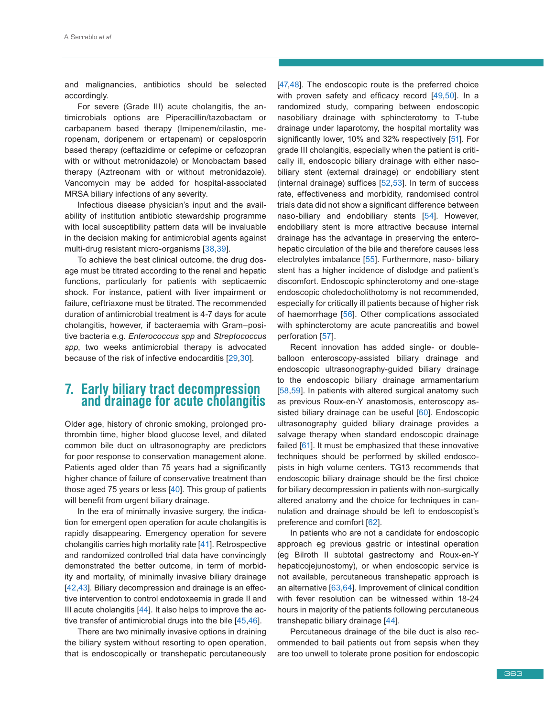and malignancies, antibiotics should be selected accordingly.

For severe (Grade III) acute cholangitis, the antimicrobials options are Piperacillin/tazobactam or carbapanem based therapy (Imipenem/cilastin, meropenam, doripenem or ertapenam) or cepalosporin based therapy (ceftazidime or cefepime or cefozopran with or without metronidazole) or Monobactam based therapy (Aztreonam with or without metronidazole). Vancomycin may be added for hospital-associated MRSA biliary infections of any severity.

Infectious disease physician's input and the availability of institution antibiotic stewardship programme with local susceptibility pattern data will be invaluable in the decision making for antimicrobial agents against multi-drug resistant micro-organisms [[38](#page--1-9),[39\]](#page--1-34).

To achieve the best clinical outcome, the drug dosage must be titrated according to the renal and hepatic functions, particularly for patients with septicaemic shock. For instance, patient with liver impairment or failure, ceftriaxone must be titrated. The recommended duration of antimicrobial treatment is 4-7 days for acute cholangitis, however, if bacteraemia with Gram–positive bacteria e.g. *Enterococcus spp* and *Streptococcus spp*, two weeks antimicrobial therapy is advocated because of the risk of infective endocarditis [[29](#page--1-25),[30](#page--1-26)].

## **7. Early biliary tract decompression and drainage for acute cholangitis**

Older age, history of chronic smoking, prolonged prothrombin time, higher blood glucose level, and dilated common bile duct on ultrasonography are predictors for poor response to conservation management alone. Patients aged older than 75 years had a significantly higher chance of failure of conservative treatment than those aged 75 years or less [[40](#page--1-11)]. This group of patients will benefit from urgent biliary drainage.

In the era of minimally invasive surgery, the indication for emergent open operation for acute cholangitis is rapidly disappearing. Emergency operation for severe cholangitis carries high mortality rate [[41](#page--1-35)]. Retrospective and randomized controlled trial data have convincingly demonstrated the better outcome, in term of morbidity and mortality, of minimally invasive biliary drainage [\[42](#page--1-36),[43](#page--1-37)]. Biliary decompression and drainage is an effective intervention to control endotoxaemia in grade II and III acute cholangitis  $[44]$  $[44]$  $[44]$ . It also helps to improve the active transfer of antimicrobial drugs into the bile [[45](#page--1-39),[46\]](#page--1-40).

There are two minimally invasive options in draining the biliary system without resorting to open operation, that is endoscopically or transhepatic percutaneously [\[47](#page--1-41),[48](#page--1-0)]. The endoscopic route is the preferred choice with proven safety and efficacy record [[49](#page--1-42),[50](#page--1-1)]. In a randomized study, comparing between endoscopic nasobiliary drainage with sphincterotomy to T-tube drainage under laparotomy, the hospital mortality was significantly lower, 10% and 32% respectively [[51](#page--1-43)]. For grade III cholangitis, especially when the patient is critically ill, endoscopic biliary drainage with either nasobiliary stent (external drainage) or endobiliary stent (internal drainage) suffices [[52](#page--1-21),[53](#page--1-22)]. In term of success rate, effectiveness and morbidity, randomised control trials data did not show a significant difference between naso-biliary and endobiliary stents [[54](#page--1-44)]. However, endobiliary stent is more attractive because internal drainage has the advantage in preserving the enterohepatic circulation of the bile and therefore causes less electrolytes imbalance [[55](#page--1-45)]. Furthermore, naso- biliary stent has a higher incidence of dislodge and patient's discomfort. Endoscopic sphincterotomy and one-stage endoscopic choledocholithotomy is not recommended, especially for critically ill patients because of higher risk of haemorrhage [[56](#page--1-46)]. Other complications associated with sphincterotomy are acute pancreatitis and bowel perforation [[57](#page--1-27)].

Recent innovation has added single- or doubleballoon enteroscopy-assisted biliary drainage and endoscopic ultrasonography-guided biliary drainage to the endoscopic biliary drainage armamentarium [\[58](#page--1-47),[59](#page--1-48)]. In patients with altered surgical anatomy such as previous Roux-en-Y anastomosis, enteroscopy as-sisted biliary drainage can be useful [[60](#page--1-4)]. Endoscopic ultrasonography guided biliary drainage provides a salvage therapy when standard endoscopic drainage failed [[61](#page--1-30)]. It must be emphasized that these innovative techniques should be performed by skilled endoscopists in high volume centers. TG13 recommends that endoscopic biliary drainage should be the first choice for biliary decompression in patients with non-surgically altered anatomy and the choice for techniques in cannulation and drainage should be left to endoscopist's preference and comfort [[62](#page--1-6)].

In patients who are not a candidate for endoscopic approach eg previous gastric or intestinal operation (eg Bilroth II subtotal gastrectomy and Roux-en-Y hepaticojejunostomy), or when endoscopic service is not available, percutaneous transhepatic approach is an alternative [[63](#page--1-49),[64](#page--1-9)]. Improvement of clinical condition with fever resolution can be witnessed within 18-24 hours in majority of the patients following percutaneous transhepatic biliary drainage [[44\]](#page--1-38).

Percutaneous drainage of the bile duct is also recommended to bail patients out from sepsis when they are too unwell to tolerate prone position for endoscopic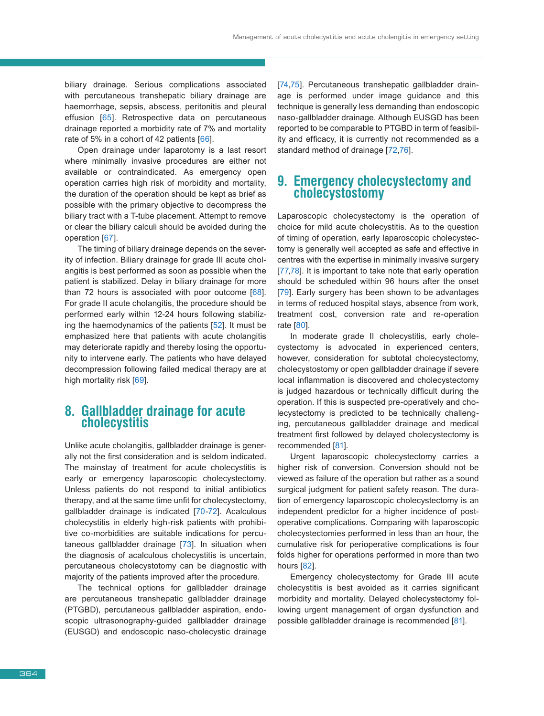biliary drainage. Serious complications associated with percutaneous transhepatic biliary drainage are haemorrhage, sepsis, abscess, peritonitis and pleural effusion [[65](#page--1-50)]. Retrospective data on percutaneous drainage reported a morbidity rate of 7% and mortality rate of 5% in a cohort of 42 patients [[66\]](#page--1-13).

Open drainage under laparotomy is a last resort where minimally invasive procedures are either not available or contraindicated. As emergency open operation carries high risk of morbidity and mortality, the duration of the operation should be kept as brief as possible with the primary objective to decompress the biliary tract with a T-tube placement. Attempt to remove or clear the biliary calculi should be avoided during the operation [[67](#page--1-51)].

The timing of biliary drainage depends on the severity of infection. Biliary drainage for grade III acute cholangitis is best performed as soon as possible when the patient is stabilized. Delay in biliary drainage for more than 72 hours is associated with poor outcome [[68\]](#page--1-15). For grade II acute cholangitis, the procedure should be performed early within 12-24 hours following stabilizing the haemodynamics of the patients [[52](#page--1-21)]. It must be emphasized here that patients with acute cholangitis may deteriorate rapidly and thereby losing the opportunity to intervene early. The patients who have delayed decompression following failed medical therapy are at high mortality risk [[69\]](#page--1-39).

## **8. Gallbladder drainage for acute cholecystitis**

Unlike acute cholangitis, gallbladder drainage is generally not the first consideration and is seldom indicated. The mainstay of treatment for acute cholecystitis is early or emergency laparoscopic cholecystectomy. Unless patients do not respond to initial antibiotics therapy, and at the same time unfit for cholecystectomy, gallbladder drainage is indicated [[70](#page--1-40)[-72\]](#page--1-19). Acalculous cholecystitis in elderly high-risk patients with prohibitive co-morbidities are suitable indications for percutaneous gallbladder drainage [[73](#page--1-1)]. In situation when the diagnosis of acalculous cholecystitis is uncertain, percutaneous cholecystotomy can be diagnostic with majority of the patients improved after the procedure.

The technical options for gallbladder drainage are percutaneous transhepatic gallbladder drainage (PTGBD), percutaneous gallbladder aspiration, endoscopic ultrasonography-guided gallbladder drainage (EUSGD) and endoscopic naso-cholecystic drainage

[\[74](#page--1-52),[75](#page--1-53)]. Percutaneous transhepatic gallbladder drainage is performed under image guidance and this technique is generally less demanding than endoscopic naso-gallbladder drainage. Although EUSGD has been reported to be comparable to PTGBD in term of feasibility and efficacy, it is currently not recommended as a standard method of drainage [[72](#page--1-19),[76](#page--1-22)].

## **9. Emergency cholecystectomy and cholecystostomy**

Laparoscopic cholecystectomy is the operation of choice for mild acute cholecystitis. As to the question of timing of operation, early laparoscopic cholecystectomy is generally well accepted as safe and effective in centres with the expertise in minimally invasive surgery [\[77](#page--1-54),[78](#page--1-45)]. It is important to take note that early operation should be scheduled within 96 hours after the onset [\[79](#page--1-46)]. Early surgery has been shown to be advantages in terms of reduced hospital stays, absence from work, treatment cost, conversion rate and re-operation rate [[80\]](#page--1-55).

In moderate grade II cholecystitis, early cholecystectomy is advocated in experienced centers, however, consideration for subtotal cholecystectomy, cholecystostomy or open gallbladder drainage if severe local inflammation is discovered and cholecystectomy is judged hazardous or technically difficult during the operation. If this is suspected pre-operatively and cholecystectomy is predicted to be technically challenging, percutaneous gallbladder drainage and medical treatment first followed by delayed cholecystectomy is recommended [[81](#page--1-56)].

Urgent laparoscopic cholecystectomy carries a higher risk of conversion. Conversion should not be viewed as failure of the operation but rather as a sound surgical judgment for patient safety reason. The duration of emergency laparoscopic cholecystectomy is an independent predictor for a higher incidence of postoperative complications. Comparing with laparoscopic cholecystectomies performed in less than an hour, the cumulative risk for perioperative complications is four folds higher for operations performed in more than two hours [[82\]](#page--1-57).

Emergency cholecystectomy for Grade III acute cholecystitis is best avoided as it carries significant morbidity and mortality. Delayed cholecystectomy following urgent management of organ dysfunction and possible gallbladder drainage is recommended [[81\]](#page--1-56).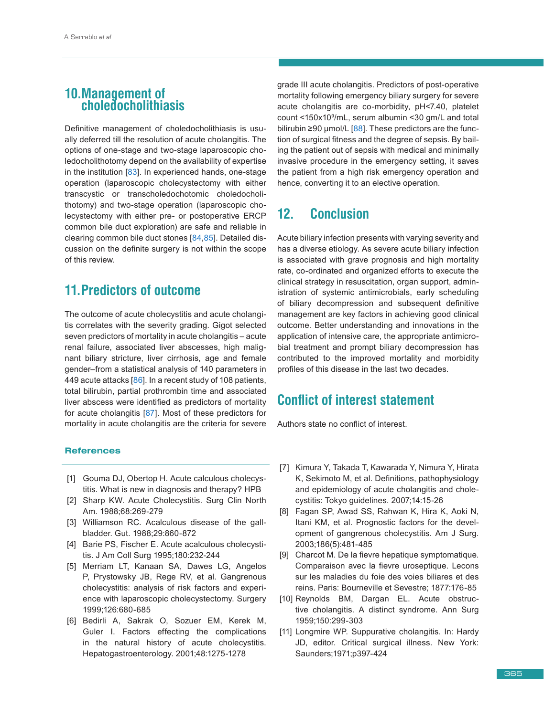## **10.Management of choledocholithiasis**

Definitive management of choledocholithiasis is usually deferred till the resolution of acute cholangitis. The options of one-stage and two-stage laparoscopic choledocholithotomy depend on the availability of expertise in the institution [[83](#page--1-5)]. In experienced hands, one-stage operation (laparoscopic cholecystectomy with either transcystic or transcholedochotomic choledocholithotomy) and two-stage operation (laparoscopic cholecystectomy with either pre- or postoperative ERCP common bile duct exploration) are safe and reliable in clearing common bile duct stones [[84](#page--1-58),[85](#page--1-49)]. Detailed discussion on the definite surgery is not within the scope of this review.

# **11. Predictors of outcome**

The outcome of acute cholecystitis and acute cholangitis correlates with the severity grading. Gigot selected seven predictors of mortality in acute cholangitis – acute renal failure, associated liver abscesses, high malignant biliary stricture, liver cirrhosis, age and female gender–from a statistical analysis of 140 parameters in 449 acute attacks [[86](#page--1-59)]. In a recent study of 108 patients, total bilirubin, partial prothrombin time and associated liver abscess were identified as predictors of mortality for acute cholangitis [[87](#page--1-34)]. Most of these predictors for mortality in acute cholangitis are the criteria for severe

#### **References**

- [1] Gouma DJ, Obertop H. Acute calculous cholecystitis. What is new in diagnosis and therapy? HPB
- [2] Sharp KW. Acute Cholecystitis. Surg Clin North Am. 1988;68:269-279
- [3] Williamson RC. Acalculous disease of the gallbladder. Gut. 1988;29:860-872
- [4] Barie PS, Fischer E. Acute acalculous cholecystitis. J Am Coll Surg 1995;180:232-244
- [5] Merriam LT, Kanaan SA, Dawes LG, Angelos P, Prystowsky JB, Rege RV, et al. Gangrenous cholecystitis: analysis of risk factors and experience with laparoscopic cholecystectomy. Surgery 1999;126:680-685
- [6] Bedirli A, Sakrak O, Sozuer EM, Kerek M, Guler I. Factors effecting the complications in the natural history of acute cholecystitis. Hepatogastroenterology. 2001;48:1275-1278

grade III acute cholangitis. Predictors of post-operative mortality following emergency biliary surgery for severe acute cholangitis are co-morbidity, pH<7.40, platelet count <150x10<sup>9</sup>/mL, serum albumin <30 gm/L and total bilirubin ≥90 µmol/L  $[88]$  $[88]$  $[88]$ . These predictors are the function of surgical fitness and the degree of sepsis. By bailing the patient out of sepsis with medical and minimally invasive procedure in the emergency setting, it saves the patient from a high risk emergency operation and hence, converting it to an elective operation.

# **12. Conclusion**

Acute biliary infection presents with varying severity and has a diverse etiology. As severe acute biliary infection is associated with grave prognosis and high mortality rate, co-ordinated and organized efforts to execute the clinical strategy in resuscitation, organ support, administration of systemic antimicrobials, early scheduling of biliary decompression and subsequent definitive management are key factors in achieving good clinical outcome. Better understanding and innovations in the application of intensive care, the appropriate antimicrobial treatment and prompt biliary decompression has contributed to the improved mortality and morbidity profiles of this disease in the last two decades.

# **Conflict of interest statement**

Authors state no conflict of interest.

- [7] Kimura Y, Takada T, Kawarada Y, Nimura Y, Hirata K, Sekimoto M, et al. Definitions, pathophysiology and epidemiology of acute cholangitis and cholecystitis: Tokyo guidelines. 2007;14:15-26
- [8] Fagan SP, Awad SS, Rahwan K, Hira K, Aoki N, Itani KM, et al. Prognostic factors for the development of gangrenous cholecystitis. Am J Surg. 2003;186(5):481-485
- [9] Charcot M. De la fievre hepatique symptomatique. Comparaison avec la fievre uroseptique. Lecons sur les maladies du foie des voies biliares et des reins. Paris: Bourneville et Sevestre; 1877:176-85
- [10] Reynolds BM, Dargan EL. Acute obstructive cholangitis. A distinct syndrome. Ann Surg 1959;150:299-303
- [11] Longmire WP. Suppurative cholangitis. In: Hardy JD, editor. Critical surgical illness. New York: Saunders;1971;p397-424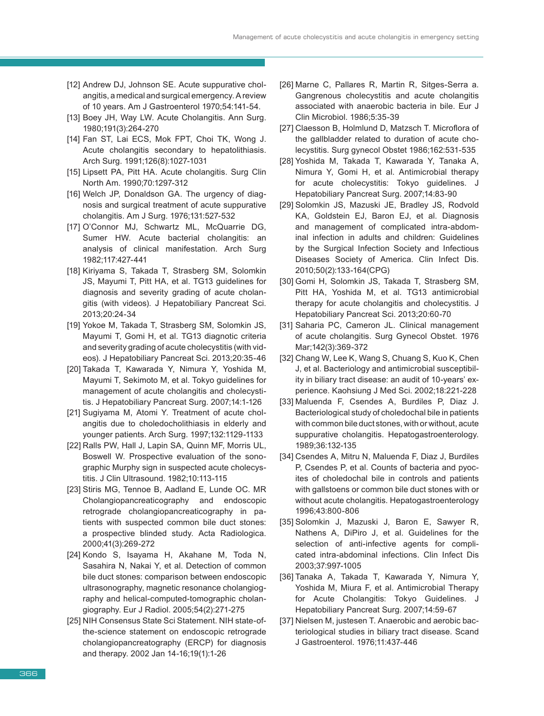- [12] Andrew DJ, Johnson SE. Acute suppurative cholangitis, a medical and surgical emergency. A review of 10 years. Am J Gastroenterol 1970;54:141-54.
- [13] Boey JH, Way LW. Acute Cholangitis. Ann Surg. 1980;191(3):264-270
- [14] Fan ST, Lai ECS, Mok FPT, Choi TK, Wong J. Acute cholangitis secondary to hepatolithiasis. Arch Surg. 1991;126(8):1027-1031
- [15] Lipsett PA, Pitt HA. Acute cholangitis. Surg Clin North Am. 1990;70:1297-312
- [16] Welch JP, Donaldson GA. The urgency of diagnosis and surgical treatment of acute suppurative cholangitis. Am J Surg. 1976;131:527-532
- [17] O'Connor MJ, Schwartz ML, McQuarrie DG, Sumer HW. Acute bacterial cholangitis: an analysis of clinical manifestation. Arch Surg 1982;117:427-441
- [18] Kiriyama S, Takada T, Strasberg SM, Solomkin JS, Mayumi T, Pitt HA, et al. TG13 guidelines for diagnosis and severity grading of acute cholangitis (with videos). J Hepatobiliary Pancreat Sci. 2013;20:24-34
- [19] Yokoe M, Takada T, Strasberg SM, Solomkin JS, Mayumi T, Gomi H, et al. TG13 diagnotic criteria and severity grading of acute cholecystitis (with videos). J Hepatobiliary Pancreat Sci. 2013;20:35-46
- [20] Takada T, Kawarada Y, Nimura Y, Yoshida M, Mayumi T, Sekimoto M, et al. Tokyo guidelines for management of acute cholangitis and cholecystitis. J Hepatobiliary Pancreat Surg. 2007;14:1-126
- [21] Sugiyama M, Atomi Y. Treatment of acute cholangitis due to choledocholithiasis in elderly and younger patients. Arch Surg. 1997;132:1129-1133
- [22] Ralls PW, Hall J, Lapin SA, Quinn MF, Morris UL, Boswell W. Prospective evaluation of the sonographic Murphy sign in suspected acute cholecystitis. J Clin Ultrasound. 1982;10:113-115
- [23] Stiris MG, Tennoe B, Aadland E, Lunde OC. MR Cholangiopancreaticography and endoscopic retrograde cholangiopancreaticography in patients with suspected common bile duct stones: a prospective blinded study. Acta Radiologica. 2000;41(3):269-272
- [24] Kondo S, Isayama H, Akahane M, Toda N, Sasahira N, Nakai Y, et al. Detection of common bile duct stones: comparison between endoscopic ultrasonography, magnetic resonance cholangiography and helical-computed-tomographic cholangiography. Eur J Radiol. 2005;54(2):271-275
- [25] NIH Consensus State Sci Statement. NIH state-ofthe-science statement on endoscopic retrograde cholangiopancreatography (ERCP) for diagnosis and therapy. 2002 Jan 14-16;19(1):1-26
- [26] Marne C, Pallares R, Martin R, Sitges-Serra a. Gangrenous cholecystitis and acute cholangitis associated with anaerobic bacteria in bile. Eur J Clin Microbiol. 1986;5:35-39
- [27] Claesson B, Holmlund D, Matzsch T. Microflora of the gallbladder related to duration of acute cholecystitis. Surg gynecol Obstet 1986;162:531-535
- [28] Yoshida M, Takada T, Kawarada Y, Tanaka A, Nimura Y, Gomi H, et al. Antimicrobial therapy for acute cholecystitis: Tokyo guidelines. J Hepatobiliary Pancreat Surg. 2007;14:83-90
- [29] Solomkin JS, Mazuski JE, Bradley JS, Rodvold KA, Goldstein EJ, Baron EJ, et al. Diagnosis and management of complicated intra-abdominal infection in adults and children: Guidelines by the Surgical Infection Society and Infectious Diseases Society of America. Clin Infect Dis. 2010;50(2):133-164(CPG)
- [30] Gomi H, Solomkin JS, Takada T, Strasberg SM, Pitt HA, Yoshida M, et al. TG13 antimicrobial therapy for acute cholangitis and cholecystitis. J Hepatobiliary Pancreat Sci. 2013;20:60-70
- [31] Saharia PC, Cameron JL. Clinical management of acute cholangitis. Surg Gynecol Obstet. 1976 Mar;142(3):369-372
- [32] Chang W, Lee K, Wang S, Chuang S, Kuo K, Chen J, et al. Bacteriology and antimicrobial susceptibility in biliary tract disease: an audit of 10-years' experience. Kaohsiung J Med Sci. 2002;18:221-228
- [33] Maluenda F, Csendes A, Burdiles P, Diaz J. Bacteriological study of choledochal bile in patients with common bile duct stones, with or without, acute suppurative cholangitis. Hepatogastroenterology. 1989;36:132-135
- [34] Csendes A, Mitru N, Maluenda F, Diaz J, Burdiles P, Csendes P, et al. Counts of bacteria and pyocites of choledochal bile in controls and patients with gallstoens or common bile duct stones with or without acute cholangitis. Hepatogastroenterology 1996;43:800-806
- [35] Solomkin J, Mazuski J, Baron E, Sawyer R, Nathens A, DiPiro J, et al. Guidelines for the selection of anti-infective agents for complicated intra-abdominal infections. Clin Infect Dis 2003;37:997-1005
- [36] Tanaka A, Takada T, Kawarada Y, Nimura Y, Yoshida M, Miura F, et al. Antimicrobial Therapy for Acute Cholangitis: Tokyo Guidelines. J Hepatobiliary Pancreat Surg. 2007;14:59-67
- [37] Nielsen M, justesen T. Anaerobic and aerobic bacteriological studies in biliary tract disease. Scand J Gastroenterol. 1976;11:437-446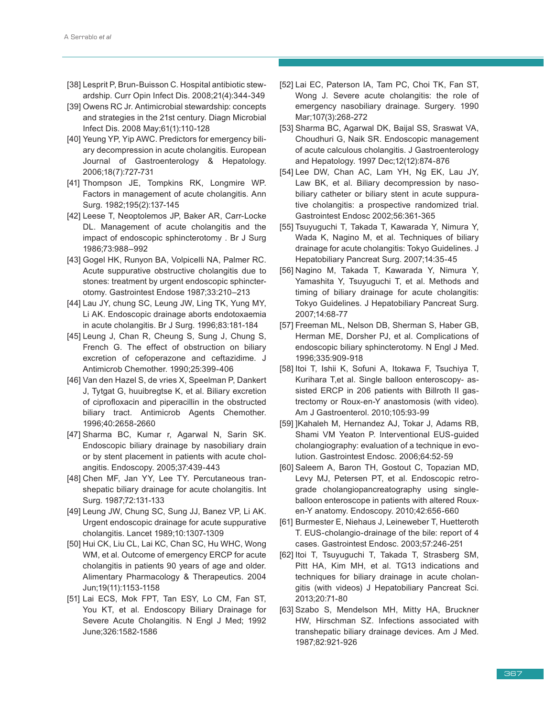- [38] Lesprit P, Brun-Buisson C. Hospital antibiotic stewardship. Curr Opin Infect Dis. 2008;21(4):344-349
- [39] Owens RC Jr. Antimicrobial stewardship: concepts and strategies in the 21st century. Diagn Microbial Infect Dis. 2008 May;61(1):110-128
- [40] Yeung YP, Yip AWC. Predictors for emergency biliary decompression in acute cholangitis. European Journal of Gastroenterology & Hepatology. 2006;18(7):727-731
- [41] Thompson JE, Tompkins RK, Longmire WP. Factors in management of acute cholangitis. Ann Surg. 1982;195(2):137-145
- [42] Leese T, Neoptolemos JP, Baker AR, Carr-Locke DL. Management of acute cholangitis and the impact of endoscopic sphincterotomy . Br J Surg 1986;73:988–992
- [43] Gogel HK, Runyon BA, Volpicelli NA, Palmer RC. Acute suppurative obstructive cholangitis due to stones: treatment by urgent endoscopic sphincterotomy. Gastrointest Endose 1987;33:210–213
- [44] Lau JY, chung SC, Leung JW, Ling TK, Yung MY, Li AK. Endoscopic drainage aborts endotoxaemia in acute cholangitis. Br J Surg. 1996;83:181-184
- [45] Leung J, Chan R, Cheung S, Sung J, Chung S, French G. The effect of obstruction on biliary excretion of cefoperazone and ceftazidime. J Antimicrob Chemother. 1990;25:399-406
- [46] Van den Hazel S, de vries X, Speelman P, Dankert J, Tytgat G, huuibregtse K, et al. Biliary excretion of ciprofloxacin and piperacillin in the obstructed biliary tract. Antimicrob Agents Chemother. 1996;40:2658-2660
- [47] Sharma BC, Kumar r, Agarwal N, Sarin SK. Endoscopic biliary drainage by nasobiliary drain or by stent placement in patients with acute cholangitis. Endoscopy. 2005;37:439-443
- [48] Chen MF, Jan YY, Lee TY. Percutaneous transhepatic biliary drainage for acute cholangitis. Int Surg. 1987;72:131-133
- [49] Leung JW, Chung SC, Sung JJ, Banez VP, Li AK. Urgent endoscopic drainage for acute suppurative cholangitis. Lancet 1989;10:1307-1309
- [50] Hui CK, Liu CL, Lai KC, Chan SC, Hu WHC, Wong WM, et al. Outcome of emergency ERCP for acute cholangitis in patients 90 years of age and older. Alimentary Pharmacology & Therapeutics. 2004 Jun;19(11):1153-1158
- [51] Lai ECS, Mok FPT, Tan ESY, Lo CM, Fan ST, You KT, et al. Endoscopy Biliary Drainage for Severe Acute Cholangitis. N Engl J Med; 1992 June;326:1582-1586
- [52] Lai EC, Paterson IA, Tam PC, Choi TK, Fan ST, Wong J. Severe acute cholangitis: the role of emergency nasobiliary drainage. Surgery. 1990 Mar;107(3):268-272
- [53] Sharma BC, Agarwal DK, Baijal SS, Sraswat VA, Choudhuri G, Naik SR. Endoscopic management of acute calculous cholangitis. J Gastroenterology and Hepatology. 1997 Dec;12(12):874-876
- [54] Lee DW, Chan AC, Lam YH, Ng EK, Lau JY, Law BK, et al. Biliary decompression by nasobiliary catheter or biliary stent in acute suppurative cholangitis: a prospective randomized trial. Gastrointest Endosc 2002;56:361-365
- [55] Tsuyuguchi T, Takada T, Kawarada Y, Nimura Y, Wada K, Nagino M, et al. Techniques of biliary drainage for acute cholangitis: Tokyo Guidelines. J Hepatobiliary Pancreat Surg. 2007;14:35-45
- [56] Nagino M, Takada T, Kawarada Y, Nimura Y, Yamashita Y, Tsuyuguchi T, et al. Methods and timing of biliary drainage for acute cholangitis: Tokyo Guidelines. J Hepatobiliary Pancreat Surg. 2007;14:68-77
- [57] Freeman ML, Nelson DB, Sherman S, Haber GB, Herman ME, Dorsher PJ, et al. Complications of endoscopic biliary sphincterotomy. N Engl J Med. 1996;335:909-918
- [58] Itoi T, Ishii K, Sofuni A, Itokawa F, Tsuchiya T, Kurihara T,et al. Single balloon enteroscopy- assisted ERCP in 206 patients with Billroth II gastrectomy or Roux-en-Y anastomosis (with video). Am J Gastroenterol. 2010;105:93-99
- [59] ]Kahaleh M, Hernandez AJ, Tokar J, Adams RB, Shami VM Yeaton P. Interventional EUS-guided cholangiography: evaluation of a technique in evolution. Gastrointest Endosc. 2006;64:52-59
- [60] Saleem A, Baron TH, Gostout C, Topazian MD, Levy MJ, Petersen PT, et al. Endoscopic retrograde cholangiopancreatography using singleballoon enteroscope in patients with altered Rouxen-Y anatomy. Endoscopy. 2010;42:656-660
- [61] Burmester E, Niehaus J, Leineweber T, Huetteroth T. EUS-cholangio-drainage of the bile: report of 4 cases. Gastrointest Endosc. 2003;57:246-251
- [62] Itoi T, Tsuyuguchi T, Takada T, Strasberg SM, Pitt HA, Kim MH, et al. TG13 indications and techniques for biliary drainage in acute cholangitis (with videos) J Hepatobiliary Pancreat Sci. 2013;20:71-80
- [63] Szabo S, Mendelson MH, Mitty HA, Bruckner HW, Hirschman SZ. Infections associated with transhepatic biliary drainage devices. Am J Med. 1987;82:921-926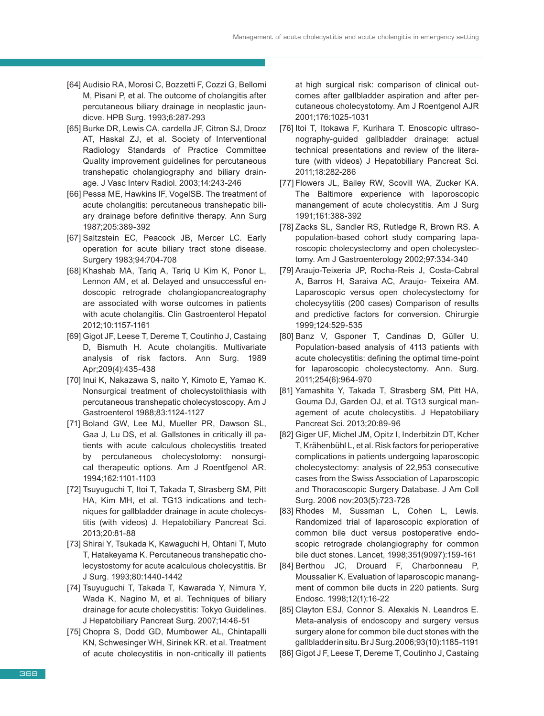- [64] Audisio RA, Morosi C, Bozzetti F, Cozzi G, Bellomi M, Pisani P, et al. The outcome of cholangitis after percutaneous biliary drainage in neoplastic jaundicve. HPB Surg. 1993;6:287-293
- [65] Burke DR, Lewis CA, cardella JF, Citron SJ, Drooz AT, Haskal ZJ, et al. Society of Interventional Radiology Standards of Practice Committee Quality improvement guidelines for percutaneous transhepatic cholangiography and biliary drainage. J Vasc Interv Radiol. 2003;14:243-246
- [66] Pessa ME, Hawkins IF, VogelSB. The treatment of acute cholangitis: percutaneous transhepatic biliary drainage before definitive therapy. Ann Surg 1987;205:389-392
- [67] Saltzstein EC, Peacock JB, Mercer LC. Early operation for acute biliary tract stone disease. Surgery 1983;94:704-708
- [68] Khashab MA, Tariq A, Tariq U Kim K, Ponor L, Lennon AM, et al. Delayed and unsuccessful endoscopic retrograde cholangiopancreatography are associated with worse outcomes in patients with acute cholangitis. Clin Gastroenterol Hepatol 2012;10:1157-1161
- [69] Gigot JF, Leese T, Dereme T, Coutinho J, Castaing D, Bismuth H. Acute cholangitis. Multivariate analysis of risk factors. Ann Surg. 1989 Apr;209(4):435-438
- [70] Inui K, Nakazawa S, naito Y, Kimoto E, Yamao K. Nonsurgical treatment of cholecystolithiasis with percutaneous transhepatic cholecystoscopy. Am J Gastroenterol 1988;83:1124-1127
- [71] Boland GW, Lee MJ, Mueller PR, Dawson SL, Gaa J, Lu DS, et al. Gallstones in critically ill patients with acute calculous cholecystitis treated by percutaneous cholecystotomy: nonsurgical therapeutic options. Am J Roentfgenol AR. 1994;162:1101-1103
- [72] Tsuyuguchi T, Itoi T, Takada T, Strasberg SM, Pitt HA, Kim MH, et al. TG13 indications and techniques for gallbladder drainage in acute cholecystitis (with videos) J. Hepatobiliary Pancreat Sci. 2013;20:81-88
- [73] Shirai Y, Tsukada K, Kawaguchi H, Ohtani T, Muto T, Hatakeyama K. Percutaneous transhepatic cholecystostomy for acute acalculous cholecystitis. Br J Surg. 1993;80:1440-1442
- [74] Tsuyuguchi T, Takada T, Kawarada Y, Nimura Y, Wada K, Nagino M, et al. Techniques of biliary drainage for acute cholecystitis: Tokyo Guidelines. J Hepatobiliary Pancreat Surg. 2007;14:46-51
- [75] Chopra S, Dodd GD, Mumbower AL, Chintapalli KN, Schwesinger WH, Sirinek KR. et al. Treatment of acute cholecystitis in non-critically ill patients

at high surgical risk: comparison of clinical outcomes after gallbladder aspiration and after percutaneous cholecystotomy. Am J Roentgenol AJR 2001;176:1025-1031

- [76] Itoi T, Itokawa F, Kurihara T. Enoscopic ultrasonography-guided gallbladder drainage: actual technical presentations and review of the literature (with videos) J Hepatobiliary Pancreat Sci. 2011;18:282-286
- [77] Flowers JL, Bailey RW, Scovill WA, Zucker KA. The Baltimore experience with laporoscopic manangement of acute cholecystitis. Am J Surg 1991;161:388-392
- [78] Zacks SL, Sandler RS, Rutledge R, Brown RS. A population-based cohort study comparing laparoscopic cholecystectomy and open cholecystectomy. Am J Gastroenterology 2002;97:334-340
- [79] Araujo-Teixeria JP, Rocha-Reis J, Costa-Cabral A, Barros H, Saraiva AC, Araujo- Teixeira AM. Laparoscopic versus open cholecystectomy for cholecysytitis (200 cases) Comparison of results and predictive factors for conversion. Chirurgie 1999;124:529-535
- [80] Banz V, Gsponer T, Candinas D, Güller U. Population-based analysis of 4113 patients with acute cholecystitis: defining the optimal time-point for laparoscopic cholecystectomy. Ann. Surg. 2011;254(6):964-970
- [81] Yamashita Y, Takada T, Strasberg SM, Pitt HA, Gouma DJ, Garden OJ, et al. TG13 surgical management of acute cholecystitis. J Hepatobiliary Pancreat Sci. 2013;20:89-96
- [82] Giger UF, Michel JM, Opitz I, Inderbitzin DT, Kcher T, Krähenbühl L, et al. Risk factors for perioperative complications in patients undergoing laparoscopic cholecystectomy: analysis of 22,953 consecutive cases from the Swiss Association of Laparoscopic and Thoracoscopic Surgery Database. J Am Coll Surg. 2006 nov;203(5):723-728
- [83] Rhodes M, Sussman L, Cohen L, Lewis. Randomized trial of laparoscopic exploration of common bile duct versus postoperative endoscopic retrograde cholangiography for common bile duct stones. Lancet, 1998;351(9097):159-161
- [84] Berthou JC, Drouard F, Charbonneau P, Moussalier K. Evaluation of laparoscopic manangment of common bile ducts in 220 patients. Surg Endosc. 1998;12(1):16-22
- [85] Clayton ESJ, Connor S. Alexakis N. Leandros E. Meta-analysis of endoscopy and surgery versus surgery alone for common bile duct stones with the gallbladder in situ. Br J Surg.2006;93(10):1185-1191
- [86] Gigot J F, Leese T, Dereme T, Coutinho J, Castaing